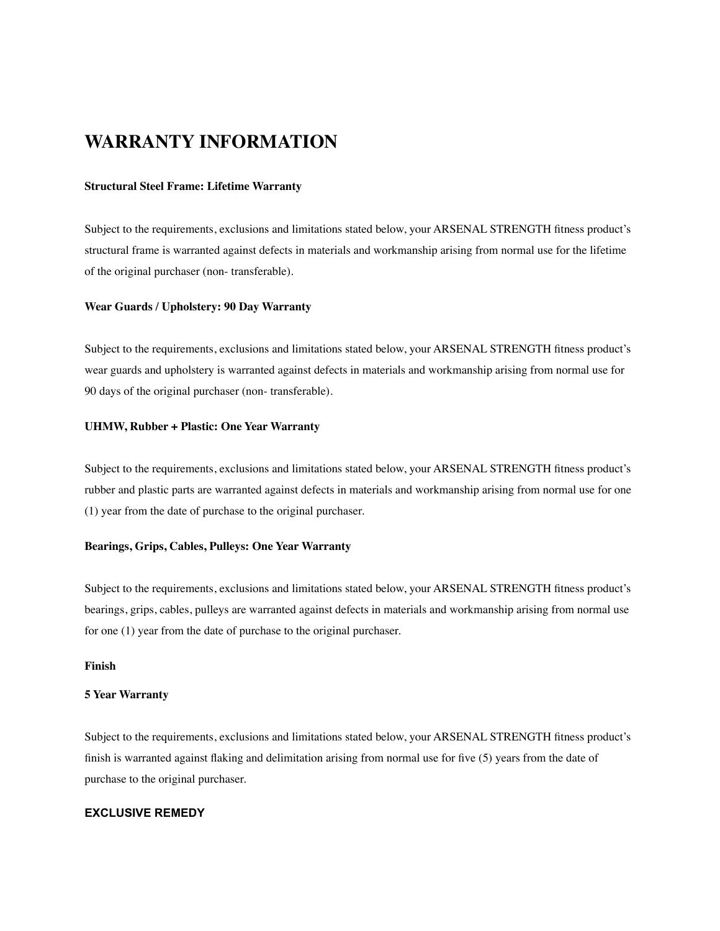# **WARRANTY INFORMATION**

## **Structural Steel Frame: Lifetime Warranty**

Subject to the requirements, exclusions and limitations stated below, your ARSENAL STRENGTH fitness product's structural frame is warranted against defects in materials and workmanship arising from normal use for the lifetime of the original purchaser (non- transferable).

#### **Wear Guards / Upholstery: 90 Day Warranty**

Subject to the requirements, exclusions and limitations stated below, your ARSENAL STRENGTH fitness product's wear guards and upholstery is warranted against defects in materials and workmanship arising from normal use for 90 days of the original purchaser (non- transferable).

# **UHMW, Rubber + Plastic: One Year Warranty**

Subject to the requirements, exclusions and limitations stated below, your ARSENAL STRENGTH fitness product's rubber and plastic parts are warranted against defects in materials and workmanship arising from normal use for one (1) year from the date of purchase to the original purchaser.

#### **Bearings, Grips, Cables, Pulleys: One Year Warranty**

Subject to the requirements, exclusions and limitations stated below, your ARSENAL STRENGTH fitness product's bearings, grips, cables, pulleys are warranted against defects in materials and workmanship arising from normal use for one (1) year from the date of purchase to the original purchaser.

## **Finish**

#### **5 Year Warranty**

Subject to the requirements, exclusions and limitations stated below, your ARSENAL STRENGTH fitness product's finish is warranted against flaking and delimitation arising from normal use for five (5) years from the date of purchase to the original purchaser.

## **EXCLUSIVE REMEDY**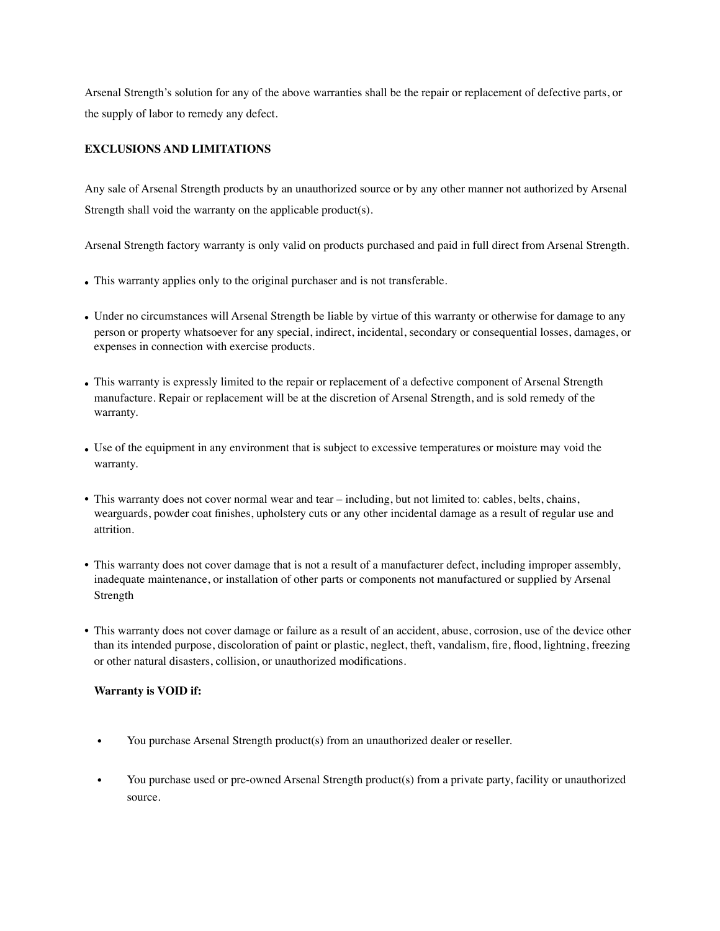Arsenal Strength's solution for any of the above warranties shall be the repair or replacement of defective parts, or the supply of labor to remedy any defect.

# **EXCLUSIONS AND LIMITATIONS**

Any sale of Arsenal Strength products by an unauthorized source or by any other manner not authorized by Arsenal Strength shall void the warranty on the applicable product(s).

Arsenal Strength factory warranty is only valid on products purchased and paid in full direct from Arsenal Strength.

- This warranty applies only to the original purchaser and is not transferable.
- Under no circumstances will Arsenal Strength be liable by virtue of this warranty or otherwise for damage to any person or property whatsoever for any special, indirect, incidental, secondary or consequential losses, damages, or expenses in connection with exercise products.
- This warranty is expressly limited to the repair or replacement of a defective component of Arsenal Strength manufacture. Repair or replacement will be at the discretion of Arsenal Strength, and is sold remedy of the warranty.
- Use of the equipment in any environment that is subject to excessive temperatures or moisture may void the warranty.
- This warranty does not cover normal wear and tear including, but not limited to: cables, belts, chains, wearguards, powder coat finishes, upholstery cuts or any other incidental damage as a result of regular use and attrition.
- This warranty does not cover damage that is not a result of a manufacturer defect, including improper assembly, inadequate maintenance, or installation of other parts or components not manufactured or supplied by Arsenal Strength
- This warranty does not cover damage or failure as a result of an accident, abuse, corrosion, use of the device other than its intended purpose, discoloration of paint or plastic, neglect, theft, vandalism, fire, flood, lightning, freezing or other natural disasters, collision, or unauthorized modifications.

# **Warranty is VOID if:**

- You purchase Arsenal Strength product(s) from an unauthorized dealer or reseller.
- You purchase used or pre-owned Arsenal Strength product(s) from a private party, facility or unauthorized source.